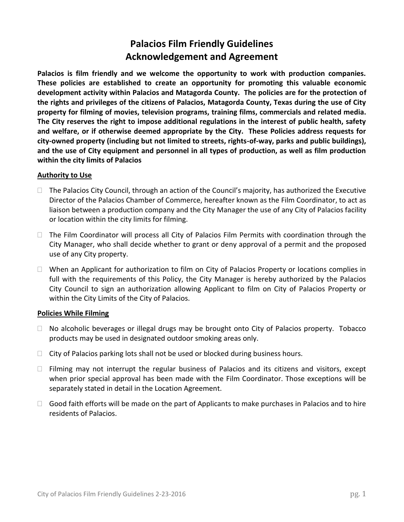# **Palacios Film Friendly Guidelines Acknowledgement and Agreement**

**Palacios is film friendly and we welcome the opportunity to work with production companies. These policies are established to create an opportunity for promoting this valuable economic development activity within Palacios and Matagorda County. The policies are for the protection of the rights and privileges of the citizens of Palacios, Matagorda County, Texas during the use of City property for filming of movies, television programs, training films, commercials and related media. The City reserves the right to impose additional regulations in the interest of public health, safety and welfare, or if otherwise deemed appropriate by the City. These Policies address requests for city-owned property (including but not limited to streets, rights-of-way, parks and public buildings), and the use of City equipment and personnel in all types of production, as well as film production within the city limits of Palacios**

### **Authority to Use**

- $\Box$  The Palacios City Council, through an action of the Council's majority, has authorized the Executive Director of the Palacios Chamber of Commerce, hereafter known as the Film Coordinator, to act as liaison between a production company and the City Manager the use of any City of Palacios facility or location within the city limits for filming.
- $\Box$  The Film Coordinator will process all City of Palacios Film Permits with coordination through the City Manager, who shall decide whether to grant or deny approval of a permit and the proposed use of any City property.
- $\Box$  When an Applicant for authorization to film on City of Palacios Property or locations complies in full with the requirements of this Policy, the City Manager is hereby authorized by the Palacios City Council to sign an authorization allowing Applicant to film on City of Palacios Property or within the City Limits of the City of Palacios.

## **Policies While Filming**

- $\Box$  No alcoholic beverages or illegal drugs may be brought onto City of Palacios property. Tobacco products may be used in designated outdoor smoking areas only.
- $\Box$  City of Palacios parking lots shall not be used or blocked during business hours.
- $\Box$  Filming may not interrupt the regular business of Palacios and its citizens and visitors, except when prior special approval has been made with the Film Coordinator. Those exceptions will be separately stated in detail in the Location Agreement.
- $\Box$  Good faith efforts will be made on the part of Applicants to make purchases in Palacios and to hire residents of Palacios.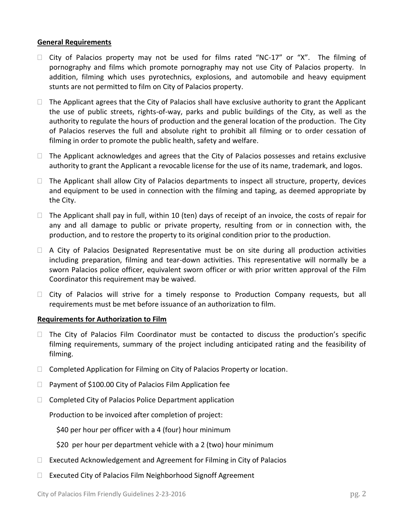### **General Requirements**

- $\Box$  City of Palacios property may not be used for films rated "NC-17" or "X". The filming of pornography and films which promote pornography may not use City of Palacios property. In addition, filming which uses pyrotechnics, explosions, and automobile and heavy equipment stunts are not permitted to film on City of Palacios property.
- $\Box$  The Applicant agrees that the City of Palacios shall have exclusive authority to grant the Applicant the use of public streets, rights-of-way, parks and public buildings of the City, as well as the authority to regulate the hours of production and the general location of the production. The City of Palacios reserves the full and absolute right to prohibit all filming or to order cessation of filming in order to promote the public health, safety and welfare.
- $\Box$  The Applicant acknowledges and agrees that the City of Palacios possesses and retains exclusive authority to grant the Applicant a revocable license for the use of its name, trademark, and logos.
- $\Box$  The Applicant shall allow City of Palacios departments to inspect all structure, property, devices and equipment to be used in connection with the filming and taping, as deemed appropriate by the City.
- $\Box$  The Applicant shall pay in full, within 10 (ten) days of receipt of an invoice, the costs of repair for any and all damage to public or private property, resulting from or in connection with, the production, and to restore the property to its original condition prior to the production.
- $\Box$  A City of Palacios Designated Representative must be on site during all production activities including preparation, filming and tear-down activities. This representative will normally be a sworn Palacios police officer, equivalent sworn officer or with prior written approval of the Film Coordinator this requirement may be waived.
- $\Box$  City of Palacios will strive for a timely response to Production Company requests, but all requirements must be met before issuance of an authorization to film.

## **Requirements for Authorization to Film**

- $\Box$  The City of Palacios Film Coordinator must be contacted to discuss the production's specific filming requirements, summary of the project including anticipated rating and the feasibility of filming.
- □ Completed Application for Filming on City of Palacios Property or location.
- $\Box$  Payment of \$100.00 City of Palacios Film Application fee
- $\Box$  Completed City of Palacios Police Department application

Production to be invoiced after completion of project:

\$40 per hour per officer with a 4 (four) hour minimum

\$20 per hour per department vehicle with a 2 (two) hour minimum

- $\Box$  Executed Acknowledgement and Agreement for Filming in City of Palacios
- □ Executed City of Palacios Film Neighborhood Signoff Agreement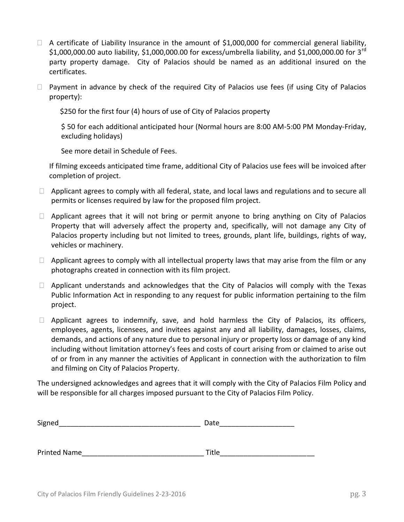- $\Box$  A certificate of Liability Insurance in the amount of \$1,000,000 for commercial general liability, \$1,000,000.00 auto liability, \$1,000,000.00 for excess/umbrella liability, and \$1,000,000.00 for 3<sup>rd</sup> party property damage. City of Palacios should be named as an additional insured on the certificates.
- $\Box$  Payment in advance by check of the required City of Palacios use fees (if using City of Palacios property):

\$250 for the first four (4) hours of use of City of Palacios property

\$ 50 for each additional anticipated hour (Normal hours are 8:00 AM-5:00 PM Monday-Friday, excluding holidays)

See more detail in Schedule of Fees.

If filming exceeds anticipated time frame, additional City of Palacios use fees will be invoiced after completion of project.

- $\Box$  Applicant agrees to comply with all federal, state, and local laws and regulations and to secure all permits or licenses required by law for the proposed film project.
- $\Box$  Applicant agrees that it will not bring or permit anyone to bring anything on City of Palacios Property that will adversely affect the property and, specifically, will not damage any City of Palacios property including but not limited to trees, grounds, plant life, buildings, rights of way, vehicles or machinery.
- $\Box$  Applicant agrees to comply with all intellectual property laws that may arise from the film or any photographs created in connection with its film project.
- $\Box$  Applicant understands and acknowledges that the City of Palacios will comply with the Texas Public Information Act in responding to any request for public information pertaining to the film project.
- $\Box$  Applicant agrees to indemnify, save, and hold harmless the City of Palacios, its officers, employees, agents, licensees, and invitees against any and all liability, damages, losses, claims, demands, and actions of any nature due to personal injury or property loss or damage of any kind including without limitation attorney's fees and costs of court arising from or claimed to arise out of or from in any manner the activities of Applicant in connection with the authorization to film and filming on City of Palacios Property.

The undersigned acknowledges and agrees that it will comply with the City of Palacios Film Policy and will be responsible for all charges imposed pursuant to the City of Palacios Film Policy.

| Signed              | Date  |
|---------------------|-------|
|                     |       |
|                     |       |
| <b>Printed Name</b> | Title |